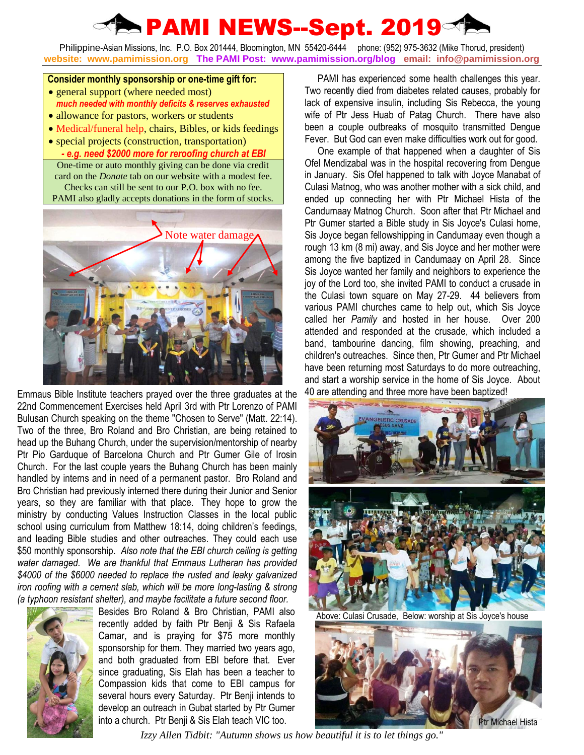## **PAMI NEWS--Sept. 2019**

Philippine-Asian Missions, Inc. P.O. Box 201444, Bloomington, MN 55420-6444 phone: (952) 975-3632 (Mike Thorud, president) **website: www.pamimission.org The PAMI Post: www.pamimission.org/blog email: info@pamimission.org**

## **Consider monthly sponsorship or one-time gift for:**

- general support (where needed most) *much needed with monthly deficits & reserves exhausted*
- allowance for pastors, workers or students
- Medical/funeral help, chairs, Bibles, or kids feedings
- special projects (construction, transportation) *- e.g. need \$2000 more for reroofing church at EBI* One-time or auto monthly giving can be done via credit card on the *Donate* tab on our website with a modest fee. Checks can still be sent to our P.O. box with no fee. PAMI also gladly accepts donations in the form of stocks.



Emmaus Bible Institute teachers prayed over the three graduates at the 22nd Commencement Exercises held April 3rd with Ptr Lorenzo of PAMI Bulusan Church speaking on the theme "Chosen to Serve" (Matt. 22:14). Two of the three, Bro Roland and Bro Christian, are being retained to head up the Buhang Church, under the supervision/mentorship of nearby Ptr Pio Garduque of Barcelona Church and Ptr Gumer Gile of Irosin Church. For the last couple years the Buhang Church has been mainly handled by interns and in need of a permanent pastor. Bro Roland and Bro Christian had previously interned there during their Junior and Senior years, so they are familiar with that place. They hope to grow the ministry by conducting Values Instruction Classes in the local public school using curriculum from Matthew 18:14, doing children's feedings, and leading Bible studies and other outreaches. They could each use \$50 monthly sponsorship. *Also note that the EBI church ceiling is getting water damaged. We are thankful that Emmaus Lutheran has provided \$4000 of the \$6000 needed to replace the rusted and leaky galvanized iron roofing with a cement slab, which will be more long-lasting & strong (a typhoon resistant shelter), and maybe facilitate a future second floor.*



Besides Bro Roland & Bro Christian, PAMI also recently added by faith Ptr Benji & Sis Rafaela Camar, and is praying for \$75 more monthly sponsorship for them. They married two years ago, and both graduated from EBI before that. Ever since graduating, Sis Elah has been a teacher to Compassion kids that come to EBI campus for several hours every Saturday. Ptr Benji intends to develop an outreach in Gubat started by Ptr Gumer

PAMI has experienced some health challenges this year. Two recently died from diabetes related causes, probably for lack of expensive insulin, including Sis Rebecca, the young wife of Ptr Jess Huab of Patag Church. There have also been a couple outbreaks of mosquito transmitted Dengue Fever. But God can even make difficulties work out for good.

One example of that happened when a daughter of Sis Ofel Mendizabal was in the hospital recovering from Dengue in January. Sis Ofel happened to talk with Joyce Manabat of Culasi Matnog, who was another mother with a sick child, and ended up connecting her with Ptr Michael Hista of the Candumaay Matnog Church. Soon after that Ptr Michael and Ptr Gumer started a Bible study in Sis Joyce's Culasi home, Sis Joyce began fellowshipping in Candumaay even though a rough 13 km (8 mi) away, and Sis Joyce and her mother were among the five baptized in Candumaay on April 28. Since Sis Joyce wanted her family and neighbors to experience the joy of the Lord too, she invited PAMI to conduct a crusade in the Culasi town square on May 27-29. 44 believers from various PAMI churches came to help out, which Sis Joyce called her *Pamily* and hosted in her house. Over 200 attended and responded at the crusade, which included a band, tambourine dancing, film showing, preaching, and children's outreaches. Since then, Ptr Gumer and Ptr Michael have been returning most Saturdays to do more outreaching, and start a worship service in the home of Sis Joyce. About 40 are attending and three more have been baptized!



Above: Culasi Crusade, Below: worship at Sis Joyce's house



*Izzy Allen Tidbit: "Autumn shows us how beautiful it is to let things go."*